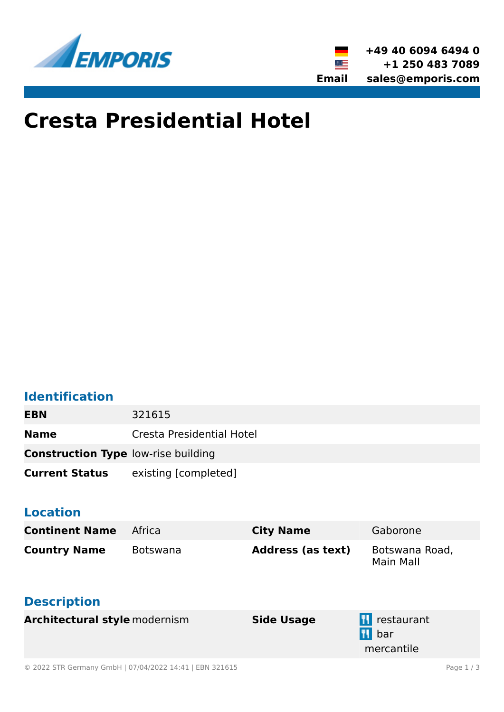



# **Cresta Presidential Hotel**

### **Identification**

| EBN                                        | 321615                    |
|--------------------------------------------|---------------------------|
| <b>Name</b>                                | Cresta Presidential Hotel |
| <b>Construction Type low-rise building</b> |                           |
| <b>Current Status</b>                      | existing [completed]      |

#### **Location**

| <b>Continent Name</b>                     | Africa          | <b>City Name</b>         | Gaborone                                 |
|-------------------------------------------|-----------------|--------------------------|------------------------------------------|
| <b>Country Name</b><br><b>Description</b> | <b>Botswana</b> | <b>Address (as text)</b> | Botswana Road,<br><b>Main Mall</b>       |
| <b>Architectural style modernism</b>      |                 | <b>Side Usage</b>        | <b>T</b> restaurant<br>bar<br>mercantile |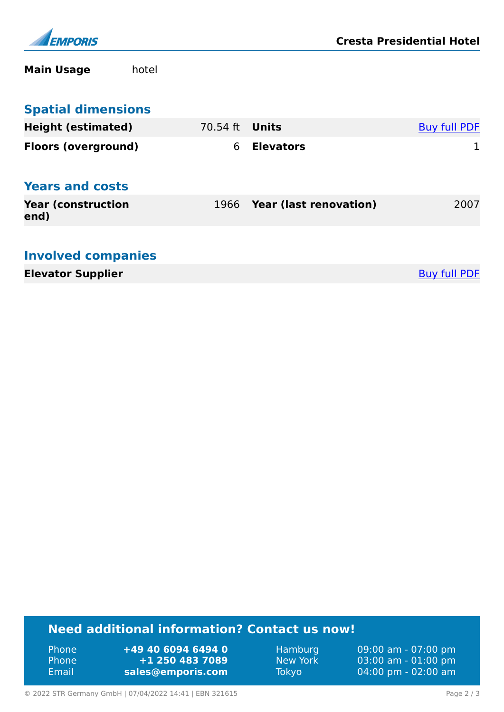

**Main Usage** hotel

| <b>Spatial dimensions</b>          |          |                               |                     |
|------------------------------------|----------|-------------------------------|---------------------|
| <b>Height (estimated)</b>          | 70.54 ft | Units                         | <b>Buy full PDF</b> |
| <b>Floors (overground)</b>         | 6        | <b>Elevators</b>              |                     |
| <b>Years and costs</b>             |          |                               |                     |
| <b>Year (construction)</b><br>end) | 1966     | <b>Year (last renovation)</b> | 2007                |
| <b>Involved companies</b>          |          |                               |                     |

**Elevator Supplier** [Buy full PDF](https://www.emporis.com/buildings/321615/cresta-presidential-hotel-gaborone-botswana?buypdf=)

#### **Need additional information? Contact us now!**

Phone **+49 40 6094 6494 0<br>
Phone <b>+1 250 483 7089** Phone **+1 250 483 7089** Email **<sales@emporis.com>**

Hamburg 09:00 am - 07:00 pm<br>New York 03:00 am - 01:00 pm New York 03:00 am - 01:00 pm<br>Tokyo 04:00 pm - 02:00 am 04:00 pm - 02:00 am